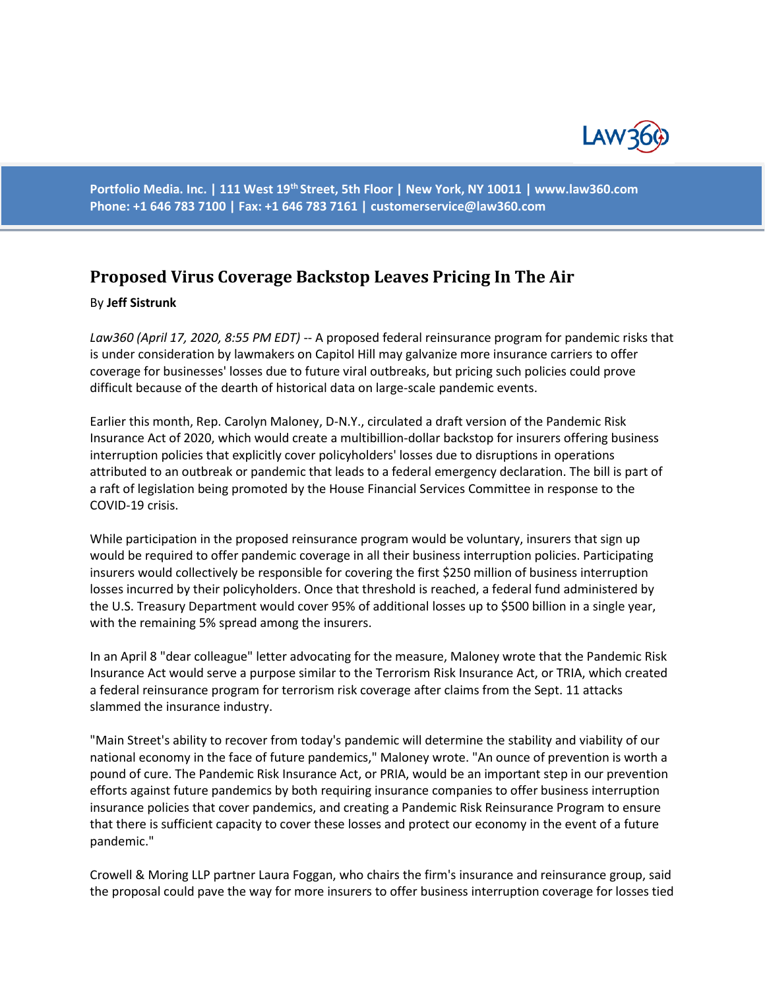

**Portfolio Media. Inc. | 111 West 19th Street, 5th Floor | New York, NY 10011 | www.law360.com Phone: +1 646 783 7100 | Fax: +1 646 783 7161 | customerservice@law360.com**

## **Proposed Virus Coverage Backstop Leaves Pricing In The Air**

## By **Jeff Sistrunk**

*Law360 (April 17, 2020, 8:55 PM EDT)* -- A proposed federal reinsurance program for pandemic risks that is under consideration by lawmakers on Capitol Hill may galvanize more insurance carriers to offer coverage for businesses' losses due to future viral outbreaks, but pricing such policies could prove difficult because of the dearth of historical data on large-scale pandemic events.

Earlier this month, Rep. Carolyn Maloney, D-N.Y., circulated a draft version of the Pandemic Risk Insurance Act of 2020, which would create a multibillion-dollar backstop for insurers offering business interruption policies that explicitly cover policyholders' losses due to disruptions in operations attributed to an outbreak or pandemic that leads to a federal emergency declaration. The bill is part of a raft of legislation being promoted by the House Financial Services Committee in response to the COVID-19 crisis.

While participation in the proposed reinsurance program would be voluntary, insurers that sign up would be required to offer pandemic coverage in all their business interruption policies. Participating insurers would collectively be responsible for covering the first \$250 million of business interruption losses incurred by their policyholders. Once that threshold is reached, a federal fund administered by the U.S. Treasury Department would cover 95% of additional losses up to \$500 billion in a single year, with the remaining 5% spread among the insurers.

In an April 8 "dear colleague" letter advocating for the measure, Maloney wrote that the Pandemic Risk Insurance Act would serve a purpose similar to the Terrorism Risk Insurance Act, or TRIA, which created a federal reinsurance program for terrorism risk coverage after claims from the Sept. 11 attacks slammed the insurance industry.

"Main Street's ability to recover from today's pandemic will determine the stability and viability of our national economy in the face of future pandemics," Maloney wrote. "An ounce of prevention is worth a pound of cure. The Pandemic Risk Insurance Act, or PRIA, would be an important step in our prevention efforts against future pandemics by both requiring insurance companies to offer business interruption insurance policies that cover pandemics, and creating a Pandemic Risk Reinsurance Program to ensure that there is sufficient capacity to cover these losses and protect our economy in the event of a future pandemic."

Crowell & Moring LLP partner Laura Foggan, who chairs the firm's insurance and reinsurance group, said the proposal could pave the way for more insurers to offer business interruption coverage for losses tied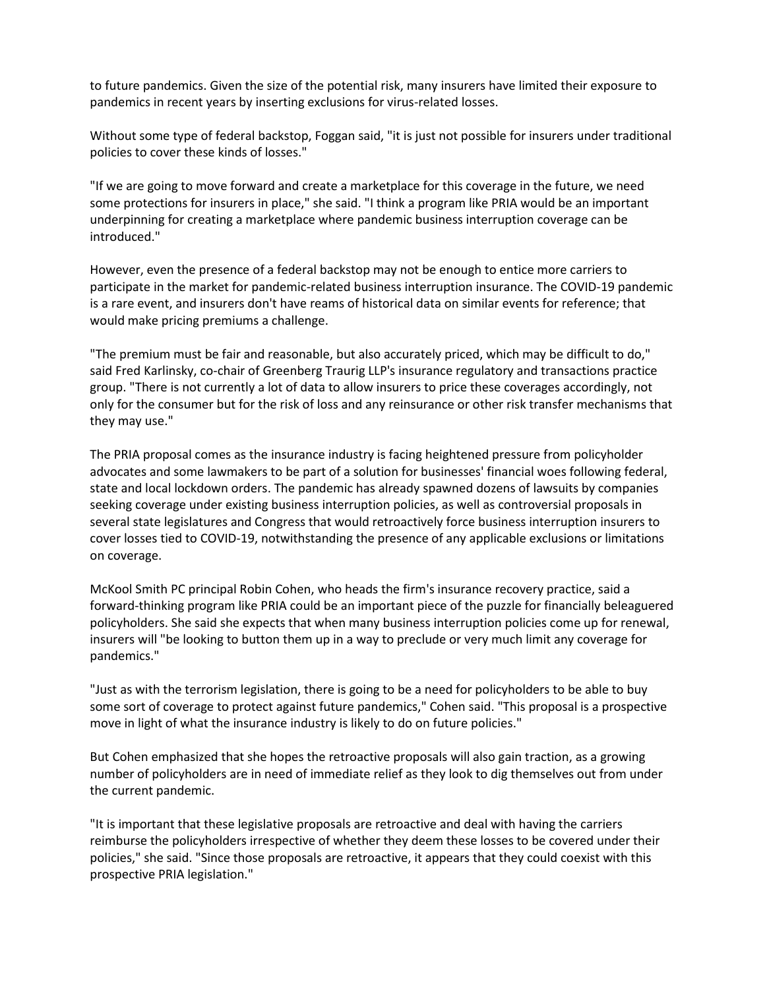to future pandemics. Given the size of the potential risk, many insurers have limited their exposure to pandemics in recent years by inserting exclusions for virus-related losses.

Without some type of federal backstop, Foggan said, "it is just not possible for insurers under traditional policies to cover these kinds of losses."

"If we are going to move forward and create a marketplace for this coverage in the future, we need some protections for insurers in place," she said. "I think a program like PRIA would be an important underpinning for creating a marketplace where pandemic business interruption coverage can be introduced."

However, even the presence of a federal backstop may not be enough to entice more carriers to participate in the market for pandemic-related business interruption insurance. The COVID-19 pandemic is a rare event, and insurers don't have reams of historical data on similar events for reference; that would make pricing premiums a challenge.

"The premium must be fair and reasonable, but also accurately priced, which may be difficult to do," said Fred Karlinsky, co-chair of Greenberg Traurig LLP's insurance regulatory and transactions practice group. "There is not currently a lot of data to allow insurers to price these coverages accordingly, not only for the consumer but for the risk of loss and any reinsurance or other risk transfer mechanisms that they may use."

The PRIA proposal comes as the insurance industry is facing heightened pressure from policyholder advocates and some lawmakers to be part of a solution for businesses' financial woes following federal, state and local lockdown orders. The pandemic has already spawned dozens of lawsuits by companies seeking coverage under existing business interruption policies, as well as controversial proposals in several state legislatures and Congress that would retroactively force business interruption insurers to cover losses tied to COVID-19, notwithstanding the presence of any applicable exclusions or limitations on coverage.

McKool Smith PC principal Robin Cohen, who heads the firm's insurance recovery practice, said a forward-thinking program like PRIA could be an important piece of the puzzle for financially beleaguered policyholders. She said she expects that when many business interruption policies come up for renewal, insurers will "be looking to button them up in a way to preclude or very much limit any coverage for pandemics."

"Just as with the terrorism legislation, there is going to be a need for policyholders to be able to buy some sort of coverage to protect against future pandemics," Cohen said. "This proposal is a prospective move in light of what the insurance industry is likely to do on future policies."

But Cohen emphasized that she hopes the retroactive proposals will also gain traction, as a growing number of policyholders are in need of immediate relief as they look to dig themselves out from under the current pandemic.

"It is important that these legislative proposals are retroactive and deal with having the carriers reimburse the policyholders irrespective of whether they deem these losses to be covered under their policies," she said. "Since those proposals are retroactive, it appears that they could coexist with this prospective PRIA legislation."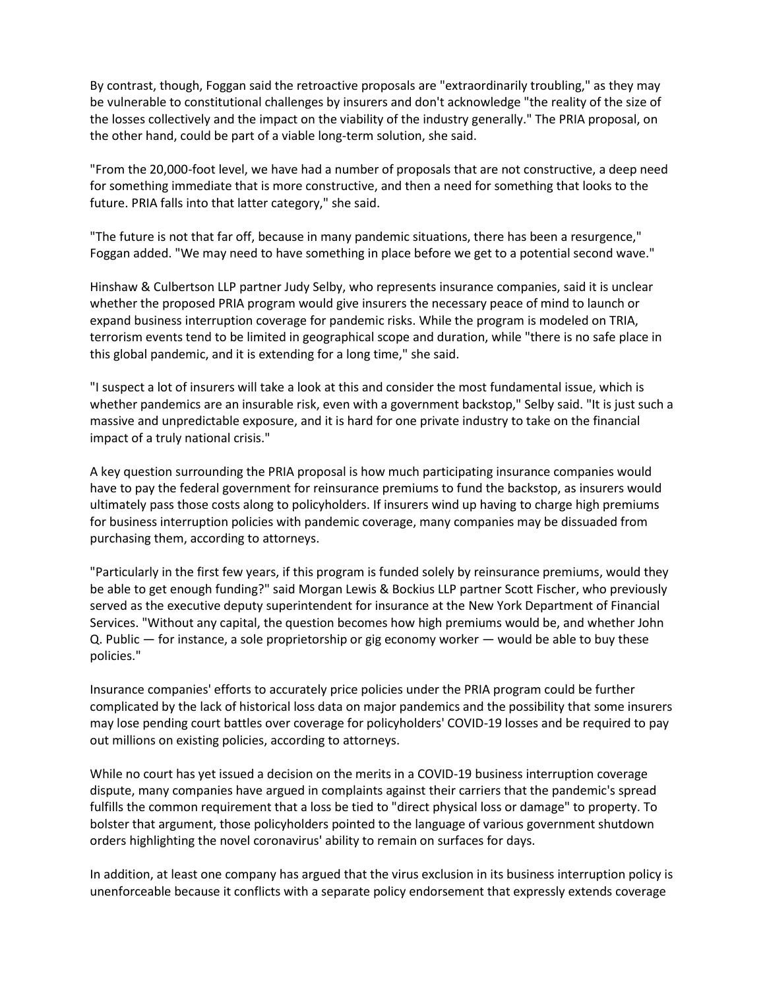By contrast, though, Foggan said the retroactive proposals are "extraordinarily troubling," as they may be vulnerable to constitutional challenges by insurers and don't acknowledge "the reality of the size of the losses collectively and the impact on the viability of the industry generally." The PRIA proposal, on the other hand, could be part of a viable long-term solution, she said.

"From the 20,000-foot level, we have had a number of proposals that are not constructive, a deep need for something immediate that is more constructive, and then a need for something that looks to the future. PRIA falls into that latter category," she said.

"The future is not that far off, because in many pandemic situations, there has been a resurgence," Foggan added. "We may need to have something in place before we get to a potential second wave."

Hinshaw & Culbertson LLP partner Judy Selby, who represents insurance companies, said it is unclear whether the proposed PRIA program would give insurers the necessary peace of mind to launch or expand business interruption coverage for pandemic risks. While the program is modeled on TRIA, terrorism events tend to be limited in geographical scope and duration, while "there is no safe place in this global pandemic, and it is extending for a long time," she said.

"I suspect a lot of insurers will take a look at this and consider the most fundamental issue, which is whether pandemics are an insurable risk, even with a government backstop," Selby said. "It is just such a massive and unpredictable exposure, and it is hard for one private industry to take on the financial impact of a truly national crisis."

A key question surrounding the PRIA proposal is how much participating insurance companies would have to pay the federal government for reinsurance premiums to fund the backstop, as insurers would ultimately pass those costs along to policyholders. If insurers wind up having to charge high premiums for business interruption policies with pandemic coverage, many companies may be dissuaded from purchasing them, according to attorneys.

"Particularly in the first few years, if this program is funded solely by reinsurance premiums, would they be able to get enough funding?" said Morgan Lewis & Bockius LLP partner Scott Fischer, who previously served as the executive deputy superintendent for insurance at the New York Department of Financial Services. "Without any capital, the question becomes how high premiums would be, and whether John Q. Public — for instance, a sole proprietorship or gig economy worker — would be able to buy these policies."

Insurance companies' efforts to accurately price policies under the PRIA program could be further complicated by the lack of historical loss data on major pandemics and the possibility that some insurers may lose pending court battles over coverage for policyholders' COVID-19 losses and be required to pay out millions on existing policies, according to attorneys.

While no court has yet issued a decision on the merits in a COVID-19 business interruption coverage dispute, many companies have argued in complaints against their carriers that the pandemic's spread fulfills the common requirement that a loss be tied to "direct physical loss or damage" to property. To bolster that argument, those policyholders pointed to the language of various government shutdown orders highlighting the novel coronavirus' ability to remain on surfaces for days.

In addition, at least one company has argued that the virus exclusion in its business interruption policy is unenforceable because it conflicts with a separate policy endorsement that expressly extends coverage